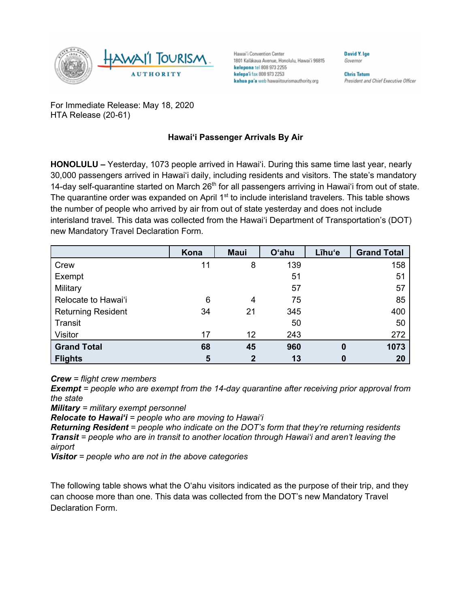

Hawai'i Convention Center 1801 Kalākaua Avenue, Honolulu, Hawai'i 96815 kelepona tel 808 973 2255 kelepa'i fax 808 973 2253 kahua pa'a web hawaiitourismauthority.org

**Chris Tatum** President and Chief Executive Officer

**David V Ine** 

Governor

For Immediate Release: May 18, 2020 HTA Release (20-61)

## **Hawai'i Passenger Arrivals By Air**

**HONOLULU –** Yesterday, 1073 people arrived in Hawai'i. During this same time last year, nearly 30,000 passengers arrived in Hawai'i daily, including residents and visitors. The state's mandatory 14-day self-quarantine started on March 26<sup>th</sup> for all passengers arriving in Hawai'i from out of state. The quarantine order was expanded on April 1<sup>st</sup> to include interisland travelers. This table shows the number of people who arrived by air from out of state yesterday and does not include interisland travel. This data was collected from the Hawai'i Department of Transportation's (DOT) new Mandatory Travel Declaration Form.

|                           | Kona | <b>Maui</b> | O'ahu | Līhu'e   | <b>Grand Total</b> |
|---------------------------|------|-------------|-------|----------|--------------------|
| Crew                      | 11   | 8           | 139   |          | 158                |
| Exempt                    |      |             | 51    |          | 51                 |
| Military                  |      |             | 57    |          | 57                 |
| Relocate to Hawai'i       | 6    | 4           | 75    |          | 85                 |
| <b>Returning Resident</b> | 34   | 21          | 345   |          | 400                |
| Transit                   |      |             | 50    |          | 50                 |
| Visitor                   | 17   | 12          | 243   |          | 272                |
| <b>Grand Total</b>        | 68   | 45          | 960   | $\bf{0}$ | 1073               |
| <b>Flights</b>            | 5    | $\mathbf 2$ | 13    | 0        | 20                 |

*Crew = flight crew members*

*Exempt = people who are exempt from the 14-day quarantine after receiving prior approval from the state*

*Military = military exempt personnel*

*Relocate to Hawai'i = people who are moving to Hawai'i*

*Returning Resident = people who indicate on the DOT's form that they're returning residents Transit = people who are in transit to another location through Hawai'i and aren't leaving the airport*

*Visitor = people who are not in the above categories*

The following table shows what the O'ahu visitors indicated as the purpose of their trip, and they can choose more than one. This data was collected from the DOT's new Mandatory Travel Declaration Form.